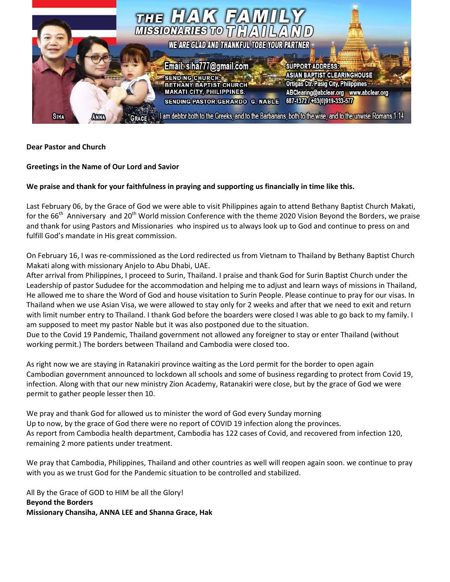

## **Dear Pastor and Church**

## **Greetings in the Name of Our Lord and Savior**

## **We praise and thank for your faithfulness in praying and supporting us financially in time like this.**

Last February 06, by the Grace of God we were able to visit Philippines again to attend Bethany Baptist Church Makati, for the 66<sup>th</sup> Anniversary and 20<sup>th</sup> World mission Conference with the theme 2020 Vision Beyond the Borders, we praise and thank for using Pastors and Missionaries who inspired us to always look up to God and continue to press on and fulfill God's mandate in His great commission.

On February 16, I was re-commissioned as the Lord redirected us from Vietnam to Thailand by Bethany Baptist Church Makati along with missionary Anjelo to Abu Dhabi, UAE.

After arrival from Philippines, I proceed to Surin, Thailand. I praise and thank God for Surin Baptist Church under the Leadership of pastor Sududee for the accommodation and helping me to adjust and learn ways of missions in Thailand, He allowed me to share the Word of God and house visitation to Surin People. Please continue to pray for our visas. In Thailand when we use Asian Visa, we were allowed to stay only for 2 weeks and after that we need to exit and return with limit number entry to Thailand. I thank God before the boarders were closed I was able to go back to my family. I am supposed to meet my pastor Nable but it was also postponed due to the situation.

Due to the Covid 19 Pandemic, Thailand government not allowed any foreigner to stay or enter Thailand (without working permit.) The borders between Thailand and Cambodia were closed too.

As right now we are staying in Ratanakiri province waiting as the Lord permit for the border to open again Cambodian government announced to lockdown all schools and some of business regarding to protect from Covid 19, infection. Along with that our new ministry Zion Academy, Ratanakiri were close, but by the grace of God we were permit to gather people lesser then 10.

We pray and thank God for allowed us to minister the word of God every Sunday morning Up to now, by the grace of God there were no report of COVID 19 infection along the provinces. As report from Cambodia health department, Cambodia has 122 cases of Covid, and recovered from infection 120, remaining 2 more patients under treatment.

We pray that Cambodia, Philippines, Thailand and other countries as well will reopen again soon. we continue to pray with you as we trust God for the Pandemic situation to be controlled and stabilized.

All By the Grace of GOD to HIM be all the Glory! **Beyond the Borders Missionary Chansiha, ANNA LEE and Shanna Grace, Hak**